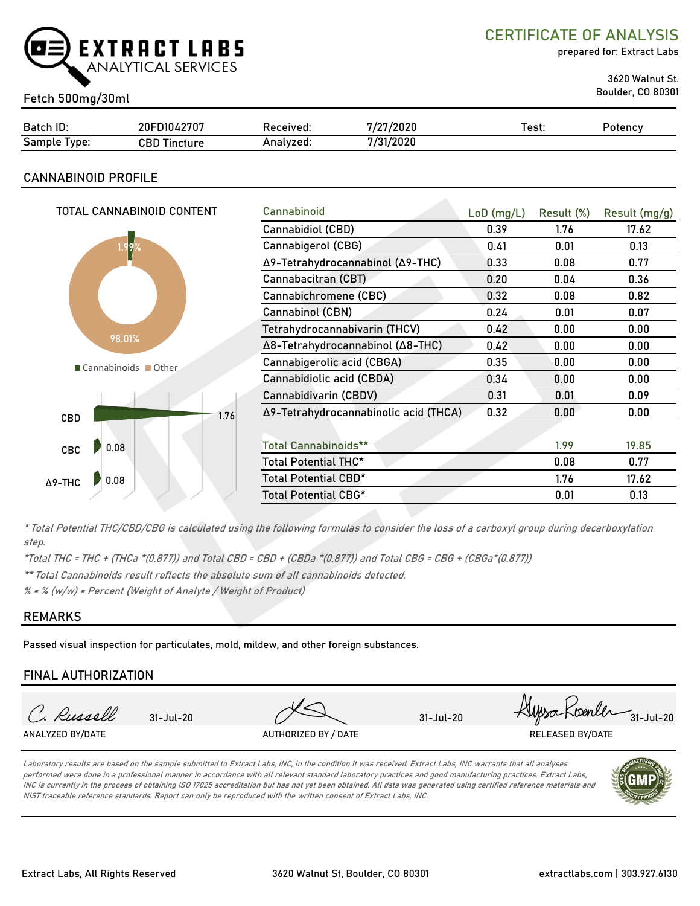

CERTIFICATE OF ANALYSIS

prepared for: Extract Labs

Boulder, CO 80301 Fetch 500mg/30ml

3620 Walnut St.

|                                             |                 |           | , Innar<br>100  |       |         |
|---------------------------------------------|-----------------|-----------|-----------------|-------|---------|
| Batch ID:                                   | D1042707<br>20F | Received: | 72020<br>       | Test. | Potency |
| $\overline{\phantom{0}}$<br>Sample<br>Type: | CBD<br>Tincture | Analvzed. | l/2020<br>7/21. |       |         |

### CANNABINOID PROFILE

| TOTAL CANNABINOID CONTENT | Cannabinoid                           | $LoD$ (mg/L) | Result (%) | Result (mg/g) |
|---------------------------|---------------------------------------|--------------|------------|---------------|
|                           | Cannabidiol (CBD)                     | 0.39         | 1.76       | 17.62         |
| 1.99%                     | Cannabigerol (CBG)                    | 0.41         | 0.01       | 0.13          |
|                           | Δ9-Tetrahydrocannabinol (Δ9-THC)      | 0.33         | 0.08       | 0.77          |
|                           | Cannabacitran (CBT)                   | 0.20         | 0.04       | 0.36          |
|                           | Cannabichromene (CBC)                 | 0.32         | 0.08       | 0.82          |
|                           | Cannabinol (CBN)                      | 0.24         | 0.01       | 0.07          |
|                           | Tetrahydrocannabivarin (THCV)         | 0.42         | 0.00       | 0.00          |
| 98.01%                    | Δ8-Tetrahydrocannabinol (Δ8-THC)      | 0.42         | 0.00       | 0.00          |
| Cannabinoids Other        | Cannabigerolic acid (CBGA)            | 0.35         | 0.00       | 0.00          |
|                           | Cannabidiolic acid (CBDA)             | 0.34         | 0.00       | 0.00          |
|                           | Cannabidivarin (CBDV)                 | 0.31         | 0.01       | 0.09          |
| 1.76<br>CBD               | Δ9-Tetrahydrocannabinolic acid (THCA) | 0.32         | 0.00       | 0.00          |
|                           |                                       |              |            |               |
| 0.08<br>CBC               | <b>Total Cannabinoids**</b>           |              | 1.99       | 19.85         |
|                           | Total Potential THC*                  |              | 0.08       | 0.77          |
| 0.08<br>$\Delta$ 9-THC    | Total Potential CBD*                  |              | 1.76       | 17.62         |
|                           | Total Potential CBG*                  |              | 0.01       | 0.13          |
|                           |                                       |              |            |               |

\* Total Potential THC/CBD/CBG is calculated using the following formulas to consider the loss of a carboxyl group during decarboxylation step.

\*Total THC = THC + (THCa \*(0.877)) and Total CBD = CBD + (CBDa \*(0.877)) and Total CBG = CBG + (CBGa\*(0.877))

\*\* Total Cannabinoids result reflects the absolute sum of all cannabinoids detected.

 $% =$  % (w/w) = Percent (Weight of Analyte / Weight of Product)

#### REMARKS

Passed visual inspection for particulates, mold, mildew, and other foreign substances.

#### FINAL AUTHORIZATION

| Spenter,<br>Russell<br>$31 - Jul - 20$<br>$31 -$ Jul-20<br>$31 -$ Jul $-20$<br>ANALYZED BY/DATE<br>AUTHORIZED BY / DATE<br><b>RELEASED BY/DATE</b> |  |  | $-25500$ |
|----------------------------------------------------------------------------------------------------------------------------------------------------|--|--|----------|
|                                                                                                                                                    |  |  |          |
|                                                                                                                                                    |  |  |          |

Laboratory results are based on the sample submitted to Extract Labs, INC, in the condition it was received. Extract Labs, INC warrants that all analyses performed were done in a professional manner in accordance with all relevant standard laboratory practices and good manufacturing practices. Extract Labs, INC is currently in the process of obtaining ISO 17025 accreditation but has not yet been obtained. All data was generated using certified reference materials and NIST traceable reference standards. Report can only be reproduced with the written consent of Extract Labs, INC.

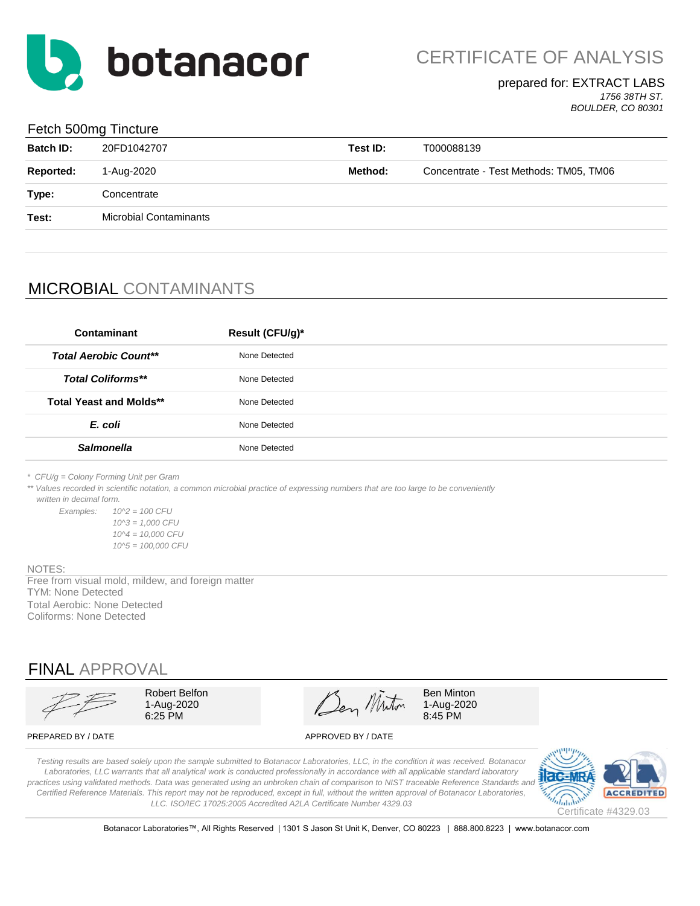

#### prepared for: EXTRACT LABS *1756 38TH ST.*

*BOULDER, CO 80301*

#### Fetch 500mg Tincture

| <b>Batch ID:</b> | 20FD1042707                   | Test ID: | T000088139                             |
|------------------|-------------------------------|----------|----------------------------------------|
| <b>Reported:</b> | 1-Aug-2020                    | Method:  | Concentrate - Test Methods: TM05, TM06 |
| Type:            | Concentrate                   |          |                                        |
| Test:            | <b>Microbial Contaminants</b> |          |                                        |
|                  |                               |          |                                        |

# MICROBIAL CONTAMINANTS

| Contaminant                    | Result (CFU/g)* |
|--------------------------------|-----------------|
| <b>Total Aerobic Count**</b>   | None Detected   |
| <b>Total Coliforms**</b>       | None Detected   |
| <b>Total Yeast and Molds**</b> | None Detected   |
| E. coli                        | None Detected   |
| <b>Salmonella</b>              | None Detected   |
|                                |                 |

*\* CFU/g = Colony Forming Unit per Gram*

\*\* Values recorded in scientific notation, a common microbial practice of expressing numbers that are too large to be conveniently  *written in decimal form.*

*Examples: 10^2 = 100 CFU 10^3 = 1,000 CFU 10^4 = 10,000 CFU 10^5 = 100,000 CFU*

#### NOTES:

Free from visual mold, mildew, and foreign matter TYM: None Detected Total Aerobic: None Detected Coliforms: None Detected

## FINAL APPROVAL

Robert Belfon  $\mathscr{A}$   $\mathscr{A}$  Ben Minton 1-Aug-2020  $\sqrt{2}$   $\sqrt{2}$   $\sqrt{4}$  1-Aug-2020  $6.25 \text{ PM}$  8:45 PM

PREPARED BY / DATE APPROVED BY / DATE

*Testing results are based solely upon the sample submitted to Botanacor Laboratories, LLC, in the condition it was received. Botanacor Laboratories, LLC warrants that all analytical work is conducted professionally in accordance with all applicable standard laboratory*  practices using validated methods. Data was generated using an unbroken chain of comparison to NIST traceable Reference Standards and *Certified Reference Materials. This report may not be reproduced, except in full, without the written approval of Botanacor Laboratories, LLC. ISO/IEC 17025:2005 Accredited A2LA Certificate Number 4329.03*



Botanacor Laboratories™, All Rights Reserved | 1301 S Jason St Unit K, Denver, CO 80223 | 888.800.8223 | www.botanacor.com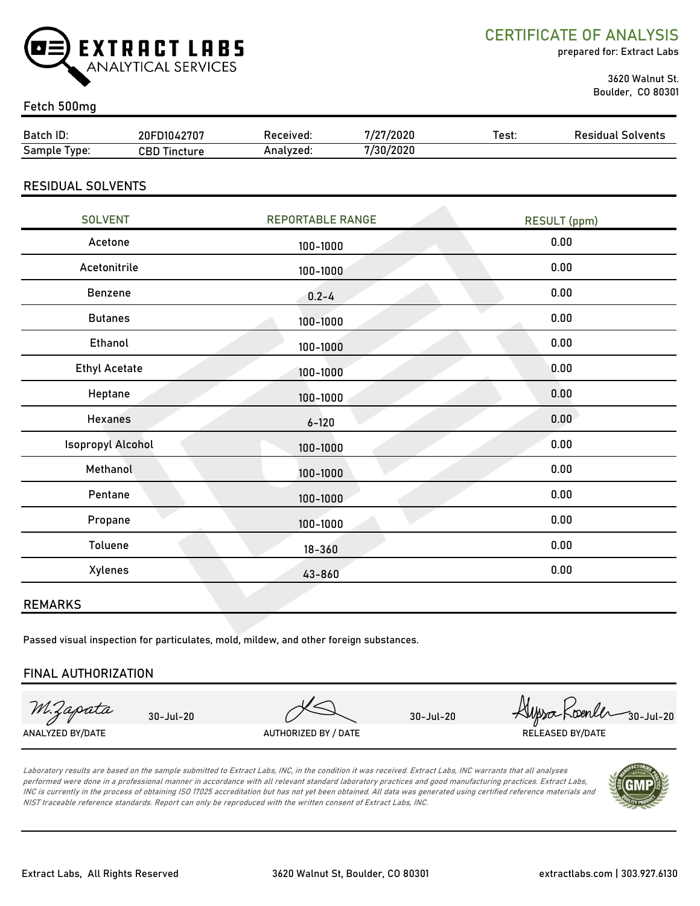

CERTIFICATE OF ANALYSIS

prepared for: Extract Labs

 3620 Walnut St. Boulder, CO 80301

#### Fetch 500mg

| Batch ID:                | 20FD1042707         | Received: | 7/27/2020 | Test: | <b>Residual Solvents</b> |
|--------------------------|---------------------|-----------|-----------|-------|--------------------------|
| Sample Type:             | <b>CBD Tincture</b> | Analyzed: | 7/30/2020 |       |                          |
|                          |                     |           |           |       |                          |
| <b>RESIDUAL SOLVENTS</b> |                     |           |           |       |                          |

| <b>SOLVENT</b>       | <b>REPORTABLE RANGE</b> | <b>RESULT</b> (ppm) |
|----------------------|-------------------------|---------------------|
| Acetone              | 100-1000                | 0.00                |
| Acetonitrile         | 100-1000                | 0.00                |
| Benzene              | $0.2 - 4$               | 0.00                |
| <b>Butanes</b>       | 100-1000                | 0.00                |
| <b>Ethanol</b>       | 100-1000                | 0.00                |
| <b>Ethyl Acetate</b> | 100-1000                | 0.00                |
| Heptane              | 100-1000                | 0.00                |
| <b>Hexanes</b>       | $6 - 120$               | 0.00                |
| Isopropyl Alcohol    | 100-1000                | 0.00                |
| Methanol             | 100-1000                | 0.00                |
| Pentane              | 100-1000                | 0.00                |
| Propane              | 100-1000                | 0.00                |
| Toluene              | $18 - 360$              | 0.00                |
| Xylenes              | 43-860                  | 0.00                |

#### REMARKS

Passed visual inspection for particulates, mold, mildew, and other foreign substances.

#### FINAL AUTHORIZATION

M.Zapata

30-Jul-20 XDenler 30-Jul-20 30-Jul-20 ANALYZED BY/DATE AUTHORIZED BY / DATE AUTHORIZED BY / DATE RELEASED BY/DATE

Laboratory results are based on the sample submitted to Extract Labs, INC, in the condition it was received. Extract Labs, INC warrants that all analyses performed were done in a professional manner in accordance with all relevant standard laboratory practices and good manufacturing practices. Extract Labs, INC is currently in the process of obtaining ISO 17025 accreditation but has not yet been obtained. All data was generated using certified reference materials and NIST traceable reference standards. Report can only be reproduced with the written consent of Extract Labs, INC.